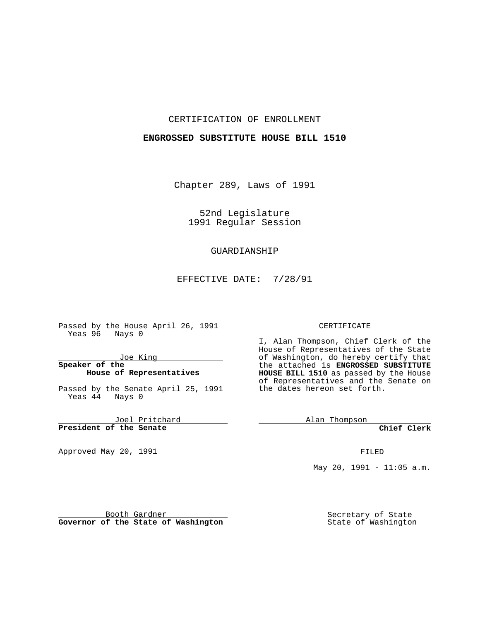#### CERTIFICATION OF ENROLLMENT

#### **ENGROSSED SUBSTITUTE HOUSE BILL 1510**

Chapter 289, Laws of 1991

52nd Legislature 1991 Regular Session

# GUARDIANSHIP

EFFECTIVE DATE: 7/28/91

Passed by the House April 26, 1991 Yeas 96 Nays 0

Joe King

#### **Speaker of the House of Representatives**

Passed by the Senate April 25, 1991 Yeas 44 Nays 0

Joel Pritchard **President of the Senate**

Approved May 20, 1991

#### CERTIFICATE

I, Alan Thompson, Chief Clerk of the House of Representatives of the State of Washington, do hereby certify that the attached is **ENGROSSED SUBSTITUTE HOUSE BILL 1510** as passed by the House of Representatives and the Senate on the dates hereon set forth.

**Alan Thompson** 

**Chief Clerk**

FILED

May 20, 1991 -  $11:05$  a.m.

Booth Gardner **Governor of the State of Washington** Secretary of State State of Washington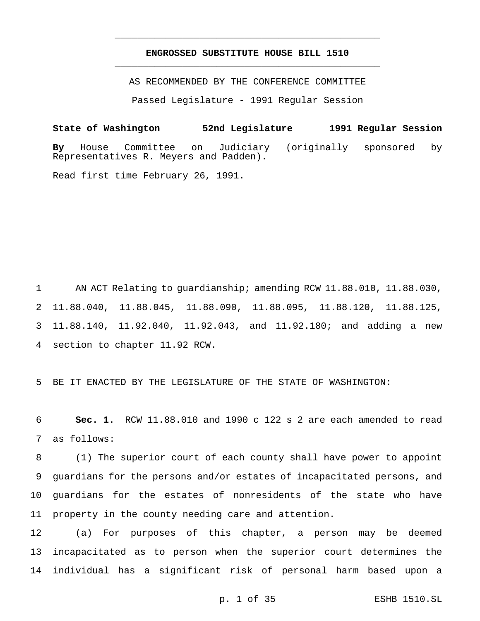## **ENGROSSED SUBSTITUTE HOUSE BILL 1510** \_\_\_\_\_\_\_\_\_\_\_\_\_\_\_\_\_\_\_\_\_\_\_\_\_\_\_\_\_\_\_\_\_\_\_\_\_\_\_\_\_\_\_\_\_\_\_

\_\_\_\_\_\_\_\_\_\_\_\_\_\_\_\_\_\_\_\_\_\_\_\_\_\_\_\_\_\_\_\_\_\_\_\_\_\_\_\_\_\_\_\_\_\_\_

AS RECOMMENDED BY THE CONFERENCE COMMITTEE

Passed Legislature - 1991 Regular Session

**State of Washington 52nd Legislature 1991 Regular Session By** House Committee on Judiciary (originally sponsored by Representatives R. Meyers and Padden). Read first time February 26, 1991.

1 AN ACT Relating to guardianship; amending RCW 11.88.010, 11.88.030, 11.88.040, 11.88.045, 11.88.090, 11.88.095, 11.88.120, 11.88.125, 11.88.140, 11.92.040, 11.92.043, and 11.92.180; and adding a new section to chapter 11.92 RCW.

5 BE IT ENACTED BY THE LEGISLATURE OF THE STATE OF WASHINGTON:

6 **Sec. 1.** RCW 11.88.010 and 1990 c 122 s 2 are each amended to read 7 as follows:

 (1) The superior court of each county shall have power to appoint guardians for the persons and/or estates of incapacitated persons, and guardians for the estates of nonresidents of the state who have property in the county needing care and attention.

12 (a) For purposes of this chapter, a person may be deemed 13 incapacitated as to person when the superior court determines the 14 individual has a significant risk of personal harm based upon a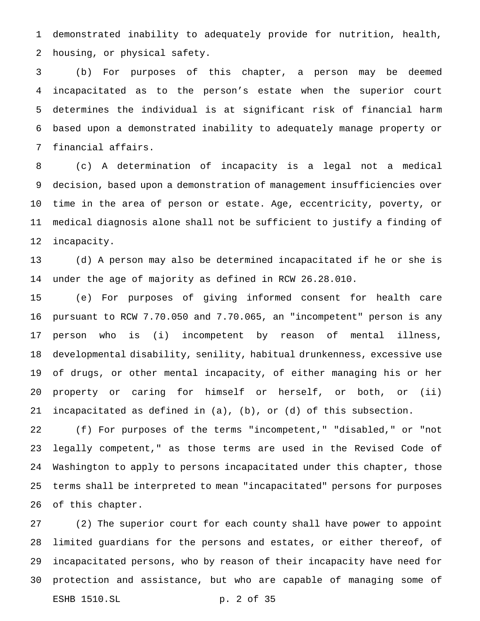demonstrated inability to adequately provide for nutrition, health, housing, or physical safety.

 (b) For purposes of this chapter, a person may be deemed incapacitated as to the person's estate when the superior court determines the individual is at significant risk of financial harm based upon a demonstrated inability to adequately manage property or financial affairs.

 (c) A determination of incapacity is a legal not a medical decision, based upon a demonstration of management insufficiencies over time in the area of person or estate. Age, eccentricity, poverty, or medical diagnosis alone shall not be sufficient to justify a finding of incapacity.

 (d) A person may also be determined incapacitated if he or she is under the age of majority as defined in RCW 26.28.010.

 (e) For purposes of giving informed consent for health care pursuant to RCW 7.70.050 and 7.70.065, an "incompetent" person is any person who is (i) incompetent by reason of mental illness, developmental disability, senility, habitual drunkenness, excessive use of drugs, or other mental incapacity, of either managing his or her property or caring for himself or herself, or both, or (ii) incapacitated as defined in (a), (b), or (d) of this subsection.

 (f) For purposes of the terms "incompetent," "disabled," or "not legally competent," as those terms are used in the Revised Code of Washington to apply to persons incapacitated under this chapter, those terms shall be interpreted to mean "incapacitated" persons for purposes of this chapter.

 (2) The superior court for each county shall have power to appoint limited guardians for the persons and estates, or either thereof, of incapacitated persons, who by reason of their incapacity have need for protection and assistance, but who are capable of managing some of ESHB 1510.SL p. 2 of 35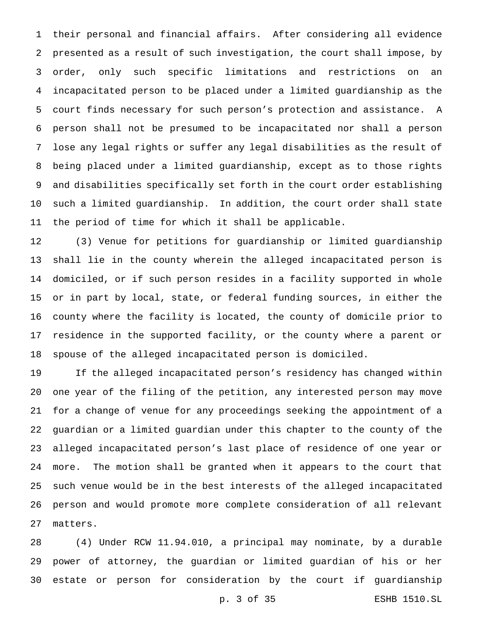their personal and financial affairs. After considering all evidence presented as a result of such investigation, the court shall impose, by order, only such specific limitations and restrictions on an incapacitated person to be placed under a limited guardianship as the court finds necessary for such person's protection and assistance. A person shall not be presumed to be incapacitated nor shall a person lose any legal rights or suffer any legal disabilities as the result of being placed under a limited guardianship, except as to those rights and disabilities specifically set forth in the court order establishing such a limited guardianship. In addition, the court order shall state the period of time for which it shall be applicable.

 (3) Venue for petitions for guardianship or limited guardianship shall lie in the county wherein the alleged incapacitated person is domiciled, or if such person resides in a facility supported in whole or in part by local, state, or federal funding sources, in either the county where the facility is located, the county of domicile prior to residence in the supported facility, or the county where a parent or spouse of the alleged incapacitated person is domiciled.

 If the alleged incapacitated person's residency has changed within one year of the filing of the petition, any interested person may move for a change of venue for any proceedings seeking the appointment of a guardian or a limited guardian under this chapter to the county of the alleged incapacitated person's last place of residence of one year or more. The motion shall be granted when it appears to the court that such venue would be in the best interests of the alleged incapacitated person and would promote more complete consideration of all relevant matters.

 (4) Under RCW 11.94.010, a principal may nominate, by a durable power of attorney, the guardian or limited guardian of his or her estate or person for consideration by the court if guardianship

p. 3 of 35 ESHB 1510.SL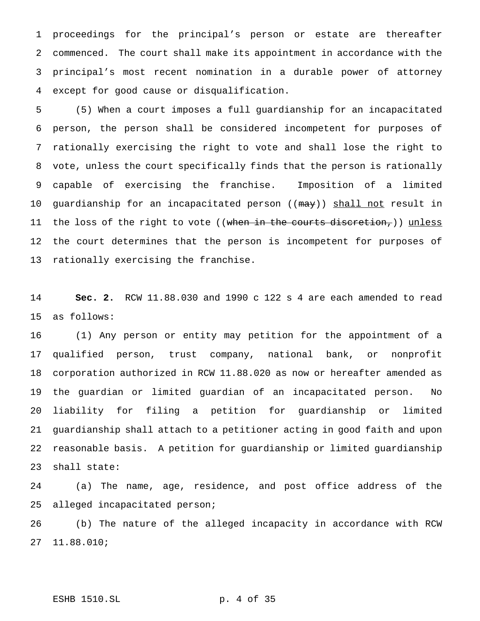proceedings for the principal's person or estate are thereafter commenced. The court shall make its appointment in accordance with the principal's most recent nomination in a durable power of attorney except for good cause or disqualification.

 (5) When a court imposes a full guardianship for an incapacitated person, the person shall be considered incompetent for purposes of rationally exercising the right to vote and shall lose the right to vote, unless the court specifically finds that the person is rationally capable of exercising the franchise. Imposition of a limited 10 guardianship for an incapacitated person ((may)) shall not result in 11 the loss of the right to vote ((when in the courts discretion,)) unless the court determines that the person is incompetent for purposes of rationally exercising the franchise.

 **Sec. 2.** RCW 11.88.030 and 1990 c 122 s 4 are each amended to read as follows:

 (1) Any person or entity may petition for the appointment of a qualified person, trust company, national bank, or nonprofit corporation authorized in RCW 11.88.020 as now or hereafter amended as the guardian or limited guardian of an incapacitated person. No liability for filing a petition for guardianship or limited guardianship shall attach to a petitioner acting in good faith and upon reasonable basis. A petition for guardianship or limited guardianship shall state:

 (a) The name, age, residence, and post office address of the alleged incapacitated person;

 (b) The nature of the alleged incapacity in accordance with RCW 11.88.010;

#### ESHB 1510.SL p. 4 of 35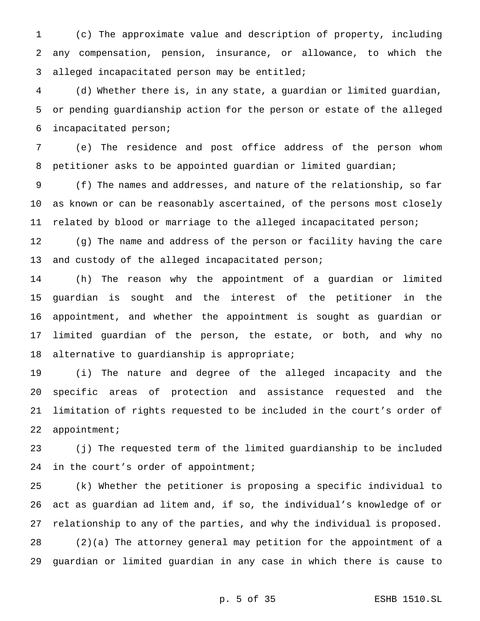(c) The approximate value and description of property, including any compensation, pension, insurance, or allowance, to which the alleged incapacitated person may be entitled;

 (d) Whether there is, in any state, a guardian or limited guardian, or pending guardianship action for the person or estate of the alleged incapacitated person;

 (e) The residence and post office address of the person whom petitioner asks to be appointed guardian or limited guardian;

 (f) The names and addresses, and nature of the relationship, so far as known or can be reasonably ascertained, of the persons most closely related by blood or marriage to the alleged incapacitated person;

 (g) The name and address of the person or facility having the care 13 and custody of the alleged incapacitated person;

 (h) The reason why the appointment of a guardian or limited guardian is sought and the interest of the petitioner in the appointment, and whether the appointment is sought as guardian or limited guardian of the person, the estate, or both, and why no alternative to guardianship is appropriate;

 (i) The nature and degree of the alleged incapacity and the specific areas of protection and assistance requested and the limitation of rights requested to be included in the court's order of appointment;

 (j) The requested term of the limited guardianship to be included 24 in the court's order of appointment;

 (k) Whether the petitioner is proposing a specific individual to act as guardian ad litem and, if so, the individual's knowledge of or relationship to any of the parties, and why the individual is proposed. (2)(a) The attorney general may petition for the appointment of a guardian or limited guardian in any case in which there is cause to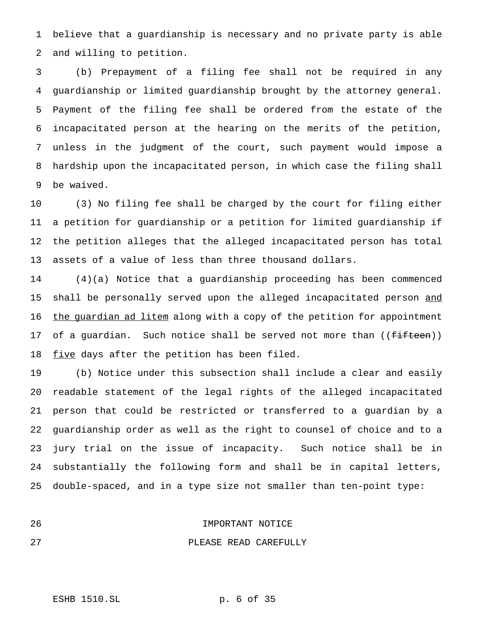believe that a guardianship is necessary and no private party is able and willing to petition.

 (b) Prepayment of a filing fee shall not be required in any guardianship or limited guardianship brought by the attorney general. Payment of the filing fee shall be ordered from the estate of the incapacitated person at the hearing on the merits of the petition, unless in the judgment of the court, such payment would impose a hardship upon the incapacitated person, in which case the filing shall be waived.

 (3) No filing fee shall be charged by the court for filing either a petition for guardianship or a petition for limited guardianship if the petition alleges that the alleged incapacitated person has total assets of a value of less than three thousand dollars.

 (4)(a) Notice that a guardianship proceeding has been commenced 15 shall be personally served upon the alleged incapacitated person and 16 the guardian ad litem along with a copy of the petition for appointment 17 of a guardian. Such notice shall be served not more than ((fifteen)) 18 five days after the petition has been filed.

 (b) Notice under this subsection shall include a clear and easily readable statement of the legal rights of the alleged incapacitated person that could be restricted or transferred to a guardian by a guardianship order as well as the right to counsel of choice and to a jury trial on the issue of incapacity. Such notice shall be in substantially the following form and shall be in capital letters, double-spaced, and in a type size not smaller than ten-point type:

| -26 | IMPORTANT NOTICE |  |
|-----|------------------|--|
|     |                  |  |

PLEASE READ CAREFULLY

ESHB 1510.SL p. 6 of 35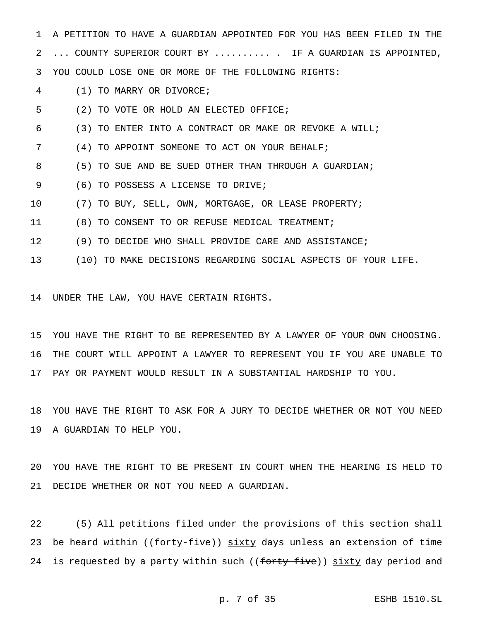A PETITION TO HAVE A GUARDIAN APPOINTED FOR YOU HAS BEEN FILED IN THE 2 ... COUNTY SUPERIOR COURT BY .......... IF A GUARDIAN IS APPOINTED, YOU COULD LOSE ONE OR MORE OF THE FOLLOWING RIGHTS:

(1) TO MARRY OR DIVORCE;

(2) TO VOTE OR HOLD AN ELECTED OFFICE;

- (3) TO ENTER INTO A CONTRACT OR MAKE OR REVOKE A WILL;
- (4) TO APPOINT SOMEONE TO ACT ON YOUR BEHALF;
- (5) TO SUE AND BE SUED OTHER THAN THROUGH A GUARDIAN;
- (6) TO POSSESS A LICENSE TO DRIVE;
- (7) TO BUY, SELL, OWN, MORTGAGE, OR LEASE PROPERTY;
- (8) TO CONSENT TO OR REFUSE MEDICAL TREATMENT;
- (9) TO DECIDE WHO SHALL PROVIDE CARE AND ASSISTANCE;
- (10) TO MAKE DECISIONS REGARDING SOCIAL ASPECTS OF YOUR LIFE.

UNDER THE LAW, YOU HAVE CERTAIN RIGHTS.

 YOU HAVE THE RIGHT TO BE REPRESENTED BY A LAWYER OF YOUR OWN CHOOSING. THE COURT WILL APPOINT A LAWYER TO REPRESENT YOU IF YOU ARE UNABLE TO PAY OR PAYMENT WOULD RESULT IN A SUBSTANTIAL HARDSHIP TO YOU.

 YOU HAVE THE RIGHT TO ASK FOR A JURY TO DECIDE WHETHER OR NOT YOU NEED A GUARDIAN TO HELP YOU.

 YOU HAVE THE RIGHT TO BE PRESENT IN COURT WHEN THE HEARING IS HELD TO DECIDE WHETHER OR NOT YOU NEED A GUARDIAN.

 (5) All petitions filed under the provisions of this section shall 23 be heard within ((forty-five)) sixty days unless an extension of time 24 is requested by a party within such ((forty-five)) sixty day period and

p. 7 of 35 ESHB 1510.SL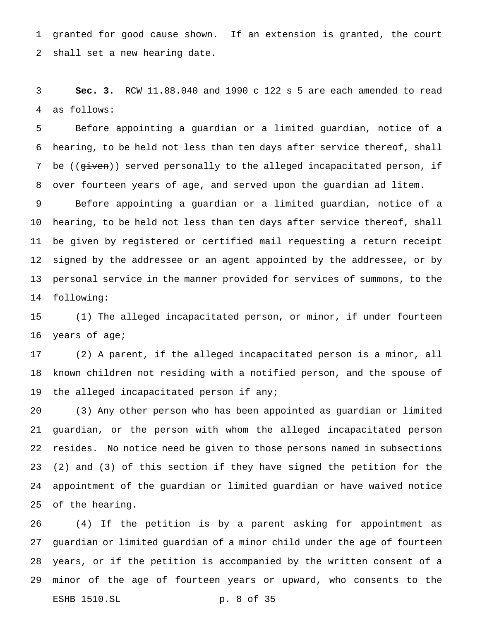granted for good cause shown. If an extension is granted, the court shall set a new hearing date.

 **Sec. 3.** RCW 11.88.040 and 1990 c 122 s 5 are each amended to read as follows:

 Before appointing a guardian or a limited guardian, notice of a hearing, to be held not less than ten days after service thereof, shall 7 be ((given)) served personally to the alleged incapacitated person, if 8 over fourteen years of age, and served upon the guardian ad litem.

 Before appointing a guardian or a limited guardian, notice of a hearing, to be held not less than ten days after service thereof, shall be given by registered or certified mail requesting a return receipt signed by the addressee or an agent appointed by the addressee, or by personal service in the manner provided for services of summons, to the following:

 (1) The alleged incapacitated person, or minor, if under fourteen years of age;

 (2) A parent, if the alleged incapacitated person is a minor, all known children not residing with a notified person, and the spouse of the alleged incapacitated person if any;

 (3) Any other person who has been appointed as guardian or limited guardian, or the person with whom the alleged incapacitated person resides. No notice need be given to those persons named in subsections (2) and (3) of this section if they have signed the petition for the appointment of the guardian or limited guardian or have waived notice of the hearing.

 (4) If the petition is by a parent asking for appointment as guardian or limited guardian of a minor child under the age of fourteen years, or if the petition is accompanied by the written consent of a minor of the age of fourteen years or upward, who consents to the ESHB 1510.SL p. 8 of 35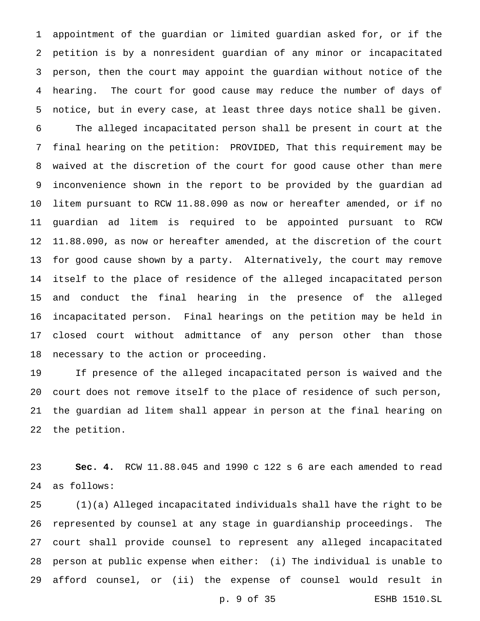appointment of the guardian or limited guardian asked for, or if the petition is by a nonresident guardian of any minor or incapacitated person, then the court may appoint the guardian without notice of the hearing. The court for good cause may reduce the number of days of notice, but in every case, at least three days notice shall be given. The alleged incapacitated person shall be present in court at the final hearing on the petition: PROVIDED, That this requirement may be waived at the discretion of the court for good cause other than mere inconvenience shown in the report to be provided by the guardian ad litem pursuant to RCW 11.88.090 as now or hereafter amended, or if no guardian ad litem is required to be appointed pursuant to RCW 11.88.090, as now or hereafter amended, at the discretion of the court for good cause shown by a party. Alternatively, the court may remove itself to the place of residence of the alleged incapacitated person

 and conduct the final hearing in the presence of the alleged incapacitated person. Final hearings on the petition may be held in closed court without admittance of any person other than those necessary to the action or proceeding.

 If presence of the alleged incapacitated person is waived and the court does not remove itself to the place of residence of such person, the guardian ad litem shall appear in person at the final hearing on the petition.

 **Sec. 4.** RCW 11.88.045 and 1990 c 122 s 6 are each amended to read as follows:

 (1)(a) Alleged incapacitated individuals shall have the right to be represented by counsel at any stage in guardianship proceedings. The court shall provide counsel to represent any alleged incapacitated person at public expense when either: (i) The individual is unable to afford counsel, or (ii) the expense of counsel would result in p. 9 of 35 ESHB 1510.SL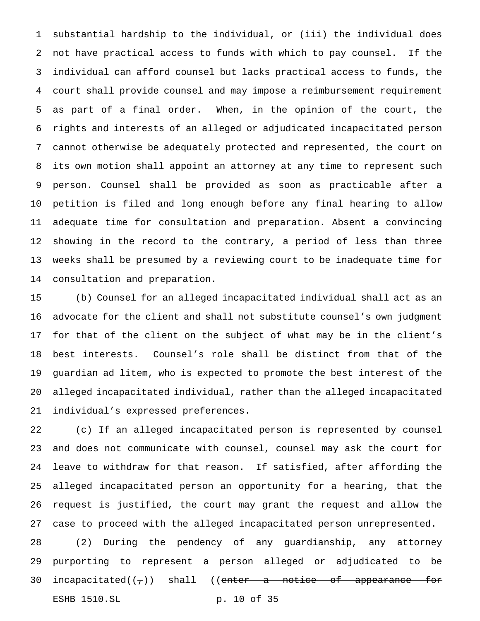substantial hardship to the individual, or (iii) the individual does not have practical access to funds with which to pay counsel. If the individual can afford counsel but lacks practical access to funds, the court shall provide counsel and may impose a reimbursement requirement as part of a final order. When, in the opinion of the court, the rights and interests of an alleged or adjudicated incapacitated person cannot otherwise be adequately protected and represented, the court on its own motion shall appoint an attorney at any time to represent such person. Counsel shall be provided as soon as practicable after a petition is filed and long enough before any final hearing to allow adequate time for consultation and preparation. Absent a convincing showing in the record to the contrary, a period of less than three weeks shall be presumed by a reviewing court to be inadequate time for consultation and preparation.

 (b) Counsel for an alleged incapacitated individual shall act as an advocate for the client and shall not substitute counsel's own judgment for that of the client on the subject of what may be in the client's best interests. Counsel's role shall be distinct from that of the guardian ad litem, who is expected to promote the best interest of the alleged incapacitated individual, rather than the alleged incapacitated individual's expressed preferences.

 (c) If an alleged incapacitated person is represented by counsel and does not communicate with counsel, counsel may ask the court for leave to withdraw for that reason. If satisfied, after affording the alleged incapacitated person an opportunity for a hearing, that the request is justified, the court may grant the request and allow the case to proceed with the alleged incapacitated person unrepresented.

 (2) During the pendency of any guardianship, any attorney purporting to represent a person alleged or adjudicated to be 30 incapacitated( $(\tau)$ ) shall ((enter a notice of appearance for ESHB 1510.SL p. 10 of 35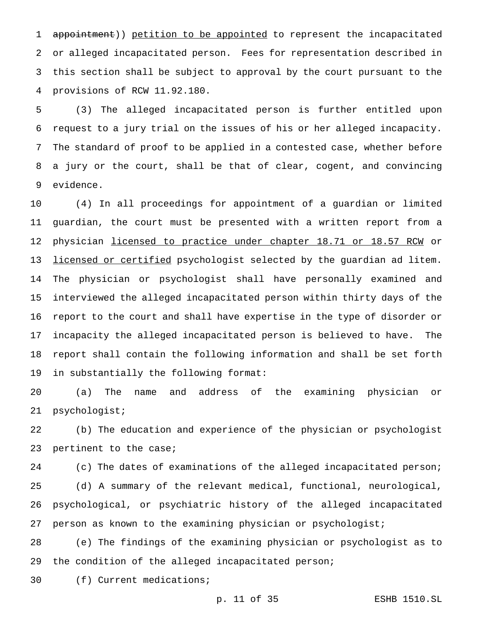1 appointment)) petition to be appointed to represent the incapacitated or alleged incapacitated person. Fees for representation described in this section shall be subject to approval by the court pursuant to the provisions of RCW 11.92.180.

 (3) The alleged incapacitated person is further entitled upon request to a jury trial on the issues of his or her alleged incapacity. The standard of proof to be applied in a contested case, whether before a jury or the court, shall be that of clear, cogent, and convincing evidence.

 (4) In all proceedings for appointment of a guardian or limited guardian, the court must be presented with a written report from a 12 physician licensed to practice under chapter 18.71 or 18.57 RCW or 13 licensed or certified psychologist selected by the guardian ad litem. The physician or psychologist shall have personally examined and interviewed the alleged incapacitated person within thirty days of the report to the court and shall have expertise in the type of disorder or incapacity the alleged incapacitated person is believed to have. The report shall contain the following information and shall be set forth in substantially the following format:

 (a) The name and address of the examining physician or psychologist;

 (b) The education and experience of the physician or psychologist pertinent to the case;

24 (c) The dates of examinations of the alleged incapacitated person; (d) A summary of the relevant medical, functional, neurological, psychological, or psychiatric history of the alleged incapacitated person as known to the examining physician or psychologist;

 (e) The findings of the examining physician or psychologist as to the condition of the alleged incapacitated person;

(f) Current medications;

p. 11 of 35 ESHB 1510.SL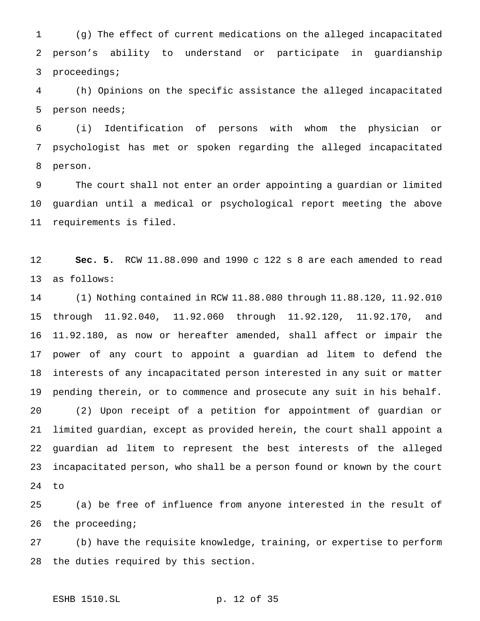(g) The effect of current medications on the alleged incapacitated person's ability to understand or participate in guardianship proceedings;

 (h) Opinions on the specific assistance the alleged incapacitated person needs;

 (i) Identification of persons with whom the physician or psychologist has met or spoken regarding the alleged incapacitated person.

 The court shall not enter an order appointing a guardian or limited guardian until a medical or psychological report meeting the above requirements is filed.

 **Sec. 5.** RCW 11.88.090 and 1990 c 122 s 8 are each amended to read as follows:

 (1) Nothing contained in RCW 11.88.080 through 11.88.120, 11.92.010 through 11.92.040, 11.92.060 through 11.92.120, 11.92.170, and 11.92.180, as now or hereafter amended, shall affect or impair the power of any court to appoint a guardian ad litem to defend the interests of any incapacitated person interested in any suit or matter pending therein, or to commence and prosecute any suit in his behalf. (2) Upon receipt of a petition for appointment of guardian or limited guardian, except as provided herein, the court shall appoint a guardian ad litem to represent the best interests of the alleged incapacitated person, who shall be a person found or known by the court to

 (a) be free of influence from anyone interested in the result of 26 the proceeding;

 (b) have the requisite knowledge, training, or expertise to perform the duties required by this section.

## ESHB 1510.SL p. 12 of 35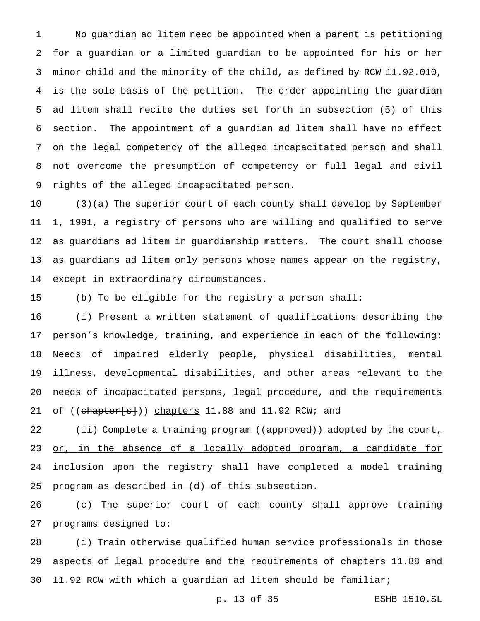No guardian ad litem need be appointed when a parent is petitioning for a guardian or a limited guardian to be appointed for his or her minor child and the minority of the child, as defined by RCW 11.92.010, is the sole basis of the petition. The order appointing the guardian ad litem shall recite the duties set forth in subsection (5) of this section. The appointment of a guardian ad litem shall have no effect on the legal competency of the alleged incapacitated person and shall not overcome the presumption of competency or full legal and civil rights of the alleged incapacitated person.

 (3)(a) The superior court of each county shall develop by September 1, 1991, a registry of persons who are willing and qualified to serve as guardians ad litem in guardianship matters. The court shall choose as guardians ad litem only persons whose names appear on the registry, except in extraordinary circumstances.

(b) To be eligible for the registry a person shall:

 (i) Present a written statement of qualifications describing the person's knowledge, training, and experience in each of the following: Needs of impaired elderly people, physical disabilities, mental illness, developmental disabilities, and other areas relevant to the needs of incapacitated persons, legal procedure, and the requirements 21 of ((chapter[s])) chapters 11.88 and 11.92 RCW; and

22 (ii) Complete a training program ((approved)) adopted by the court, 23 or, in the absence of a locally adopted program, a candidate for 24 inclusion upon the registry shall have completed a model training program as described in (d) of this subsection.

 (c) The superior court of each county shall approve training programs designed to:

 (i) Train otherwise qualified human service professionals in those aspects of legal procedure and the requirements of chapters 11.88 and 11.92 RCW with which a guardian ad litem should be familiar;

p. 13 of 35 ESHB 1510.SL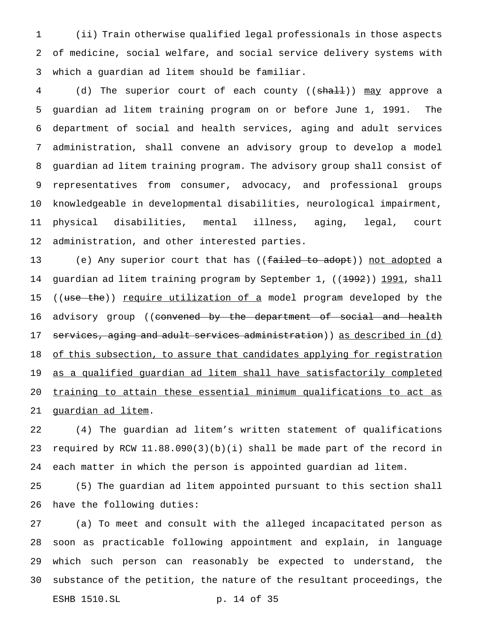(ii) Train otherwise qualified legal professionals in those aspects of medicine, social welfare, and social service delivery systems with which a guardian ad litem should be familiar.

4 (d) The superior court of each county ((shall)) may approve a guardian ad litem training program on or before June 1, 1991. The department of social and health services, aging and adult services administration, shall convene an advisory group to develop a model guardian ad litem training program. The advisory group shall consist of representatives from consumer, advocacy, and professional groups knowledgeable in developmental disabilities, neurological impairment, physical disabilities, mental illness, aging, legal, court administration, and other interested parties.

13 (e) Any superior court that has ((<del>failed to adopt</del>)) <u>not adopted</u> a 14 guardian ad litem training program by September 1, ((<del>1992</del>)) 1991, shall 15 ((use the)) require utilization of a model program developed by the 16 advisory group ((<del>convened by the department of social and health</del> services, aging and adult services administration)) as described in (d) 18 of this subsection, to assure that candidates applying for registration as a qualified guardian ad litem shall have satisfactorily completed training to attain these essential minimum qualifications to act as guardian ad litem.

 (4) The guardian ad litem's written statement of qualifications required by RCW 11.88.090(3)(b)(i) shall be made part of the record in each matter in which the person is appointed guardian ad litem.

 (5) The guardian ad litem appointed pursuant to this section shall have the following duties:

 (a) To meet and consult with the alleged incapacitated person as soon as practicable following appointment and explain, in language which such person can reasonably be expected to understand, the substance of the petition, the nature of the resultant proceedings, the ESHB 1510.SL p. 14 of 35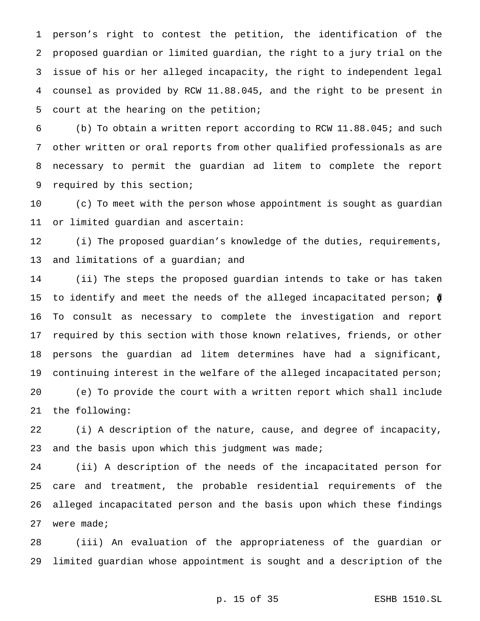person's right to contest the petition, the identification of the proposed guardian or limited guardian, the right to a jury trial on the issue of his or her alleged incapacity, the right to independent legal counsel as provided by RCW 11.88.045, and the right to be present in court at the hearing on the petition;

 (b) To obtain a written report according to RCW 11.88.045; and such other written or oral reports from other qualified professionals as are necessary to permit the guardian ad litem to complete the report required by this section;

 (c) To meet with the person whose appointment is sought as guardian or limited guardian and ascertain:

 (i) The proposed guardian's knowledge of the duties, requirements, 13 and limitations of a guardian; and

 (ii) The steps the proposed guardian intends to take or has taken 15 to identify and meet the needs of the alleged incapacitated person;  $\oint$  To consult as necessary to complete the investigation and report required by this section with those known relatives, friends, or other persons the guardian ad litem determines have had a significant, 19 continuing interest in the welfare of the alleged incapacitated person; (e) To provide the court with a written report which shall include the following:

 (i) A description of the nature, cause, and degree of incapacity, 23 and the basis upon which this judgment was made;

 (ii) A description of the needs of the incapacitated person for care and treatment, the probable residential requirements of the alleged incapacitated person and the basis upon which these findings were made;

 (iii) An evaluation of the appropriateness of the guardian or limited guardian whose appointment is sought and a description of the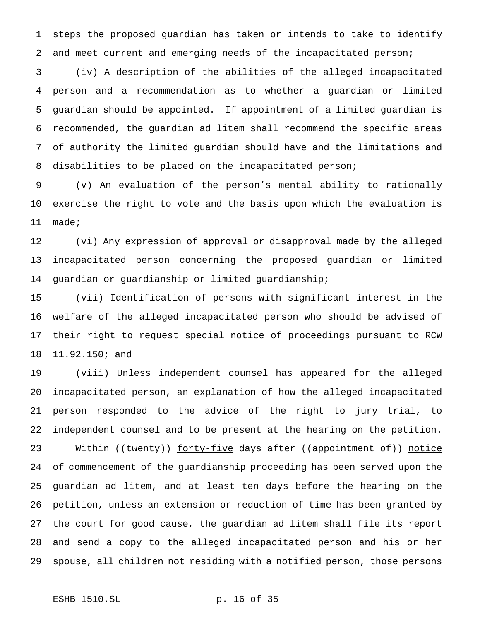steps the proposed guardian has taken or intends to take to identify and meet current and emerging needs of the incapacitated person;

 (iv) A description of the abilities of the alleged incapacitated person and a recommendation as to whether a guardian or limited guardian should be appointed. If appointment of a limited guardian is recommended, the guardian ad litem shall recommend the specific areas of authority the limited guardian should have and the limitations and disabilities to be placed on the incapacitated person;

 (v) An evaluation of the person's mental ability to rationally exercise the right to vote and the basis upon which the evaluation is made;

 (vi) Any expression of approval or disapproval made by the alleged incapacitated person concerning the proposed guardian or limited guardian or guardianship or limited guardianship;

 (vii) Identification of persons with significant interest in the welfare of the alleged incapacitated person who should be advised of their right to request special notice of proceedings pursuant to RCW 11.92.150; and

 (viii) Unless independent counsel has appeared for the alleged incapacitated person, an explanation of how the alleged incapacitated person responded to the advice of the right to jury trial, to independent counsel and to be present at the hearing on the petition. 23 Within ((twenty)) forty-five days after ((appointment of)) notice 24 of commencement of the guardianship proceeding has been served upon the guardian ad litem, and at least ten days before the hearing on the petition, unless an extension or reduction of time has been granted by the court for good cause, the guardian ad litem shall file its report and send a copy to the alleged incapacitated person and his or her spouse, all children not residing with a notified person, those persons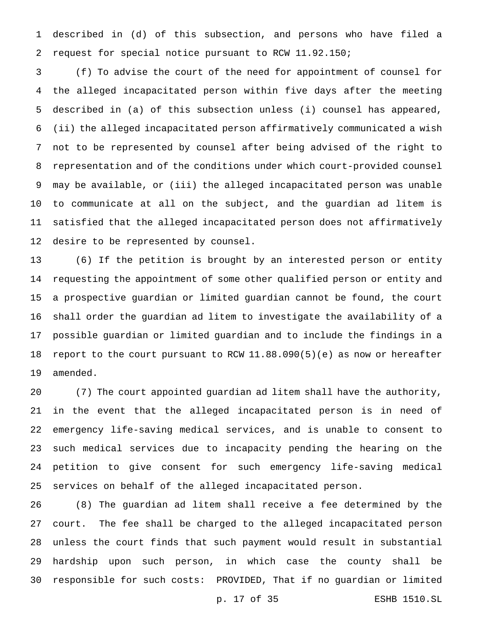described in (d) of this subsection, and persons who have filed a request for special notice pursuant to RCW 11.92.150;

 (f) To advise the court of the need for appointment of counsel for the alleged incapacitated person within five days after the meeting described in (a) of this subsection unless (i) counsel has appeared, (ii) the alleged incapacitated person affirmatively communicated a wish not to be represented by counsel after being advised of the right to representation and of the conditions under which court-provided counsel may be available, or (iii) the alleged incapacitated person was unable to communicate at all on the subject, and the guardian ad litem is satisfied that the alleged incapacitated person does not affirmatively desire to be represented by counsel.

 (6) If the petition is brought by an interested person or entity requesting the appointment of some other qualified person or entity and a prospective guardian or limited guardian cannot be found, the court shall order the guardian ad litem to investigate the availability of a possible guardian or limited guardian and to include the findings in a report to the court pursuant to RCW 11.88.090(5)(e) as now or hereafter amended.

 (7) The court appointed guardian ad litem shall have the authority, in the event that the alleged incapacitated person is in need of emergency life-saving medical services, and is unable to consent to such medical services due to incapacity pending the hearing on the petition to give consent for such emergency life-saving medical services on behalf of the alleged incapacitated person.

 (8) The guardian ad litem shall receive a fee determined by the court. The fee shall be charged to the alleged incapacitated person unless the court finds that such payment would result in substantial hardship upon such person, in which case the county shall be responsible for such costs: PROVIDED, That if no guardian or limited

p. 17 of 35 ESHB 1510.SL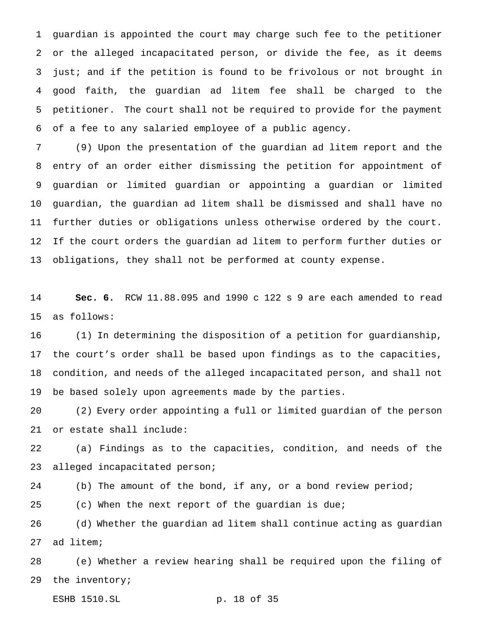guardian is appointed the court may charge such fee to the petitioner or the alleged incapacitated person, or divide the fee, as it deems just; and if the petition is found to be frivolous or not brought in good faith, the guardian ad litem fee shall be charged to the petitioner. The court shall not be required to provide for the payment of a fee to any salaried employee of a public agency.

 (9) Upon the presentation of the guardian ad litem report and the entry of an order either dismissing the petition for appointment of guardian or limited guardian or appointing a guardian or limited guardian, the guardian ad litem shall be dismissed and shall have no further duties or obligations unless otherwise ordered by the court. If the court orders the guardian ad litem to perform further duties or obligations, they shall not be performed at county expense.

 **Sec. 6.** RCW 11.88.095 and 1990 c 122 s 9 are each amended to read as follows:

 (1) In determining the disposition of a petition for guardianship, the court's order shall be based upon findings as to the capacities, condition, and needs of the alleged incapacitated person, and shall not be based solely upon agreements made by the parties.

 (2) Every order appointing a full or limited guardian of the person or estate shall include:

 (a) Findings as to the capacities, condition, and needs of the alleged incapacitated person;

(b) The amount of the bond, if any, or a bond review period;

(c) When the next report of the guardian is due;

 (d) Whether the guardian ad litem shall continue acting as guardian ad litem;

 (e) Whether a review hearing shall be required upon the filing of the inventory;

ESHB 1510.SL p. 18 of 35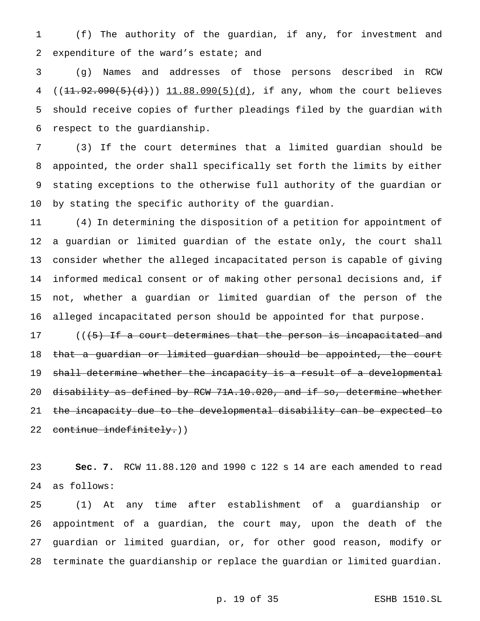(f) The authority of the guardian, if any, for investment and expenditure of the ward's estate; and

 (g) Names and addresses of those persons described in RCW  $((11.92.090(5)(d)))$   $11.88.090(5)(d)$ , if any, whom the court believes should receive copies of further pleadings filed by the guardian with respect to the guardianship.

 (3) If the court determines that a limited guardian should be appointed, the order shall specifically set forth the limits by either stating exceptions to the otherwise full authority of the guardian or by stating the specific authority of the guardian.

 (4) In determining the disposition of a petition for appointment of a guardian or limited guardian of the estate only, the court shall consider whether the alleged incapacitated person is capable of giving informed medical consent or of making other personal decisions and, if not, whether a guardian or limited guardian of the person of the alleged incapacitated person should be appointed for that purpose.

17 (((5) If a court determines that the person is incapacitated and that a guardian or limited guardian should be appointed, the court 19 shall determine whether the incapacity is a result of a developmental disability as defined by RCW 71A.10.020, and if so, determine whether the incapacity due to the developmental disability can be expected to 22 continue indefinitely.))

 **Sec. 7.** RCW 11.88.120 and 1990 c 122 s 14 are each amended to read as follows:

 (1) At any time after establishment of a guardianship or appointment of a guardian, the court may, upon the death of the guardian or limited guardian, or, for other good reason, modify or terminate the guardianship or replace the guardian or limited guardian.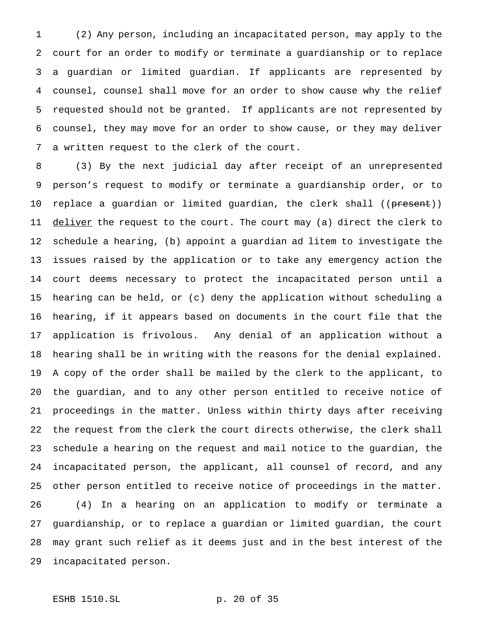(2) Any person, including an incapacitated person, may apply to the court for an order to modify or terminate a guardianship or to replace a guardian or limited guardian. If applicants are represented by counsel, counsel shall move for an order to show cause why the relief requested should not be granted. If applicants are not represented by counsel, they may move for an order to show cause, or they may deliver a written request to the clerk of the court.

 (3) By the next judicial day after receipt of an unrepresented person's request to modify or terminate a guardianship order, or to 10 replace a guardian or limited guardian, the clerk shall ((present)) 11 deliver the request to the court. The court may (a) direct the clerk to schedule a hearing, (b) appoint a guardian ad litem to investigate the issues raised by the application or to take any emergency action the court deems necessary to protect the incapacitated person until a hearing can be held, or (c) deny the application without scheduling a hearing, if it appears based on documents in the court file that the application is frivolous. Any denial of an application without a hearing shall be in writing with the reasons for the denial explained. A copy of the order shall be mailed by the clerk to the applicant, to the guardian, and to any other person entitled to receive notice of proceedings in the matter. Unless within thirty days after receiving the request from the clerk the court directs otherwise, the clerk shall schedule a hearing on the request and mail notice to the guardian, the incapacitated person, the applicant, all counsel of record, and any other person entitled to receive notice of proceedings in the matter. (4) In a hearing on an application to modify or terminate a guardianship, or to replace a guardian or limited guardian, the court may grant such relief as it deems just and in the best interest of the incapacitated person.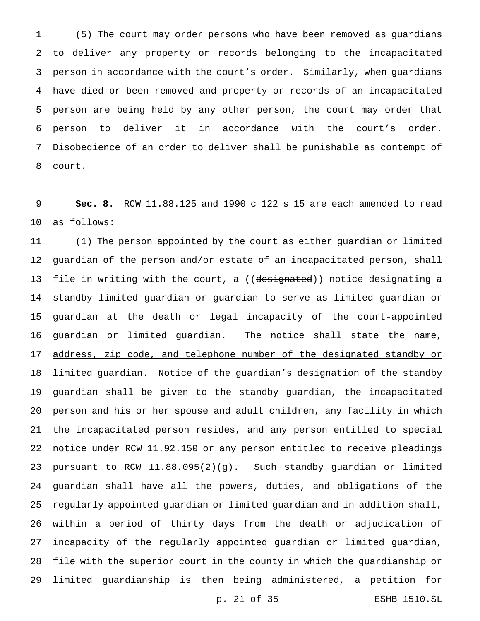(5) The court may order persons who have been removed as guardians to deliver any property or records belonging to the incapacitated person in accordance with the court's order. Similarly, when guardians have died or been removed and property or records of an incapacitated person are being held by any other person, the court may order that person to deliver it in accordance with the court's order. Disobedience of an order to deliver shall be punishable as contempt of court.

 **Sec. 8.** RCW 11.88.125 and 1990 c 122 s 15 are each amended to read as follows:

 (1) The person appointed by the court as either guardian or limited guardian of the person and/or estate of an incapacitated person, shall 13 file in writing with the court, a ((designated)) notice designating a standby limited guardian or guardian to serve as limited guardian or guardian at the death or legal incapacity of the court-appointed 16 guardian or limited guardian. The notice shall state the name, 17 address, zip code, and telephone number of the designated standby or 18 <u>limited guardian.</u> Notice of the guardian's designation of the standby guardian shall be given to the standby guardian, the incapacitated person and his or her spouse and adult children, any facility in which the incapacitated person resides, and any person entitled to special notice under RCW 11.92.150 or any person entitled to receive pleadings pursuant to RCW 11.88.095(2)(g). Such standby guardian or limited guardian shall have all the powers, duties, and obligations of the regularly appointed guardian or limited guardian and in addition shall, within a period of thirty days from the death or adjudication of incapacity of the regularly appointed guardian or limited guardian, file with the superior court in the county in which the guardianship or limited guardianship is then being administered, a petition for

p. 21 of 35 ESHB 1510.SL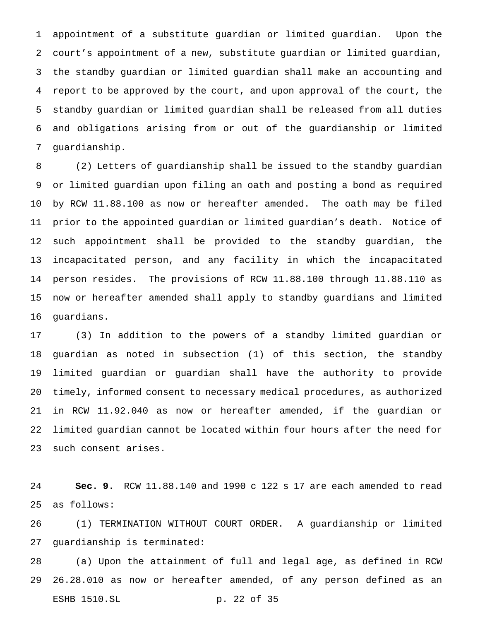appointment of a substitute guardian or limited guardian. Upon the court's appointment of a new, substitute guardian or limited guardian, the standby guardian or limited guardian shall make an accounting and report to be approved by the court, and upon approval of the court, the standby guardian or limited guardian shall be released from all duties and obligations arising from or out of the guardianship or limited guardianship.

 (2) Letters of guardianship shall be issued to the standby guardian or limited guardian upon filing an oath and posting a bond as required by RCW 11.88.100 as now or hereafter amended. The oath may be filed prior to the appointed guardian or limited guardian's death. Notice of such appointment shall be provided to the standby guardian, the incapacitated person, and any facility in which the incapacitated person resides. The provisions of RCW 11.88.100 through 11.88.110 as now or hereafter amended shall apply to standby guardians and limited guardians.

 (3) In addition to the powers of a standby limited guardian or guardian as noted in subsection (1) of this section, the standby limited guardian or guardian shall have the authority to provide timely, informed consent to necessary medical procedures, as authorized in RCW 11.92.040 as now or hereafter amended, if the guardian or limited guardian cannot be located within four hours after the need for such consent arises.

 **Sec. 9.** RCW 11.88.140 and 1990 c 122 s 17 are each amended to read as follows:

 (1) TERMINATION WITHOUT COURT ORDER. A guardianship or limited guardianship is terminated:

 (a) Upon the attainment of full and legal age, as defined in RCW 26.28.010 as now or hereafter amended, of any person defined as an ESHB 1510.SL p. 22 of 35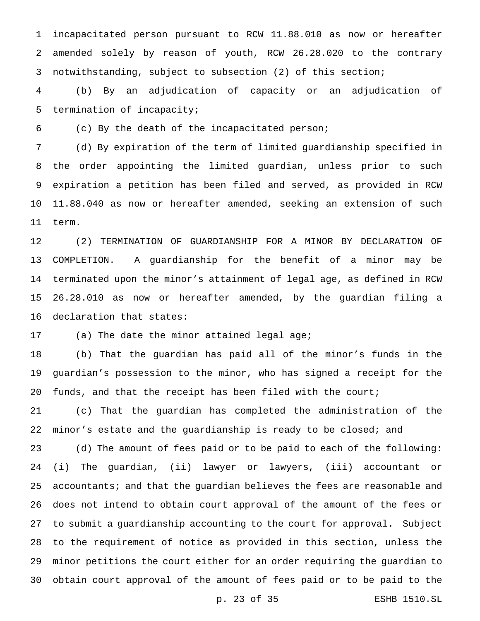incapacitated person pursuant to RCW 11.88.010 as now or hereafter amended solely by reason of youth, RCW 26.28.020 to the contrary notwithstanding, subject to subsection (2) of this section;

 (b) By an adjudication of capacity or an adjudication of termination of incapacity;

(c) By the death of the incapacitated person;

 (d) By expiration of the term of limited guardianship specified in the order appointing the limited guardian, unless prior to such expiration a petition has been filed and served, as provided in RCW 11.88.040 as now or hereafter amended, seeking an extension of such term.

 (2) TERMINATION OF GUARDIANSHIP FOR A MINOR BY DECLARATION OF COMPLETION. A guardianship for the benefit of a minor may be terminated upon the minor's attainment of legal age, as defined in RCW 26.28.010 as now or hereafter amended, by the guardian filing a declaration that states:

(a) The date the minor attained legal age;

 (b) That the guardian has paid all of the minor's funds in the guardian's possession to the minor, who has signed a receipt for the 20 funds, and that the receipt has been filed with the court;

 (c) That the guardian has completed the administration of the minor's estate and the guardianship is ready to be closed; and

 (d) The amount of fees paid or to be paid to each of the following: (i) The guardian, (ii) lawyer or lawyers, (iii) accountant or accountants; and that the guardian believes the fees are reasonable and does not intend to obtain court approval of the amount of the fees or to submit a guardianship accounting to the court for approval. Subject to the requirement of notice as provided in this section, unless the minor petitions the court either for an order requiring the guardian to obtain court approval of the amount of fees paid or to be paid to the

p. 23 of 35 ESHB 1510.SL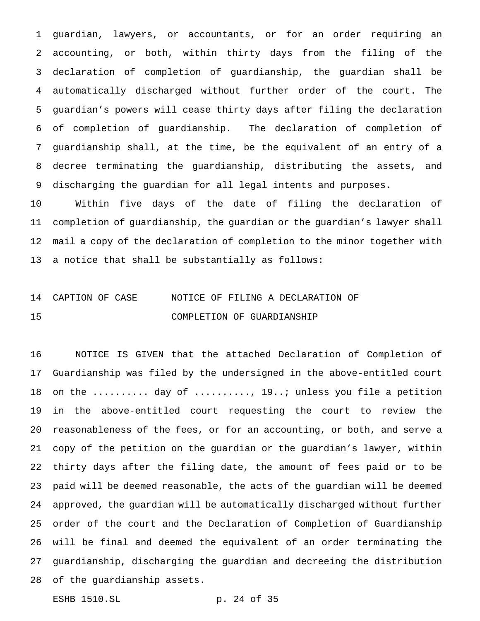guardian, lawyers, or accountants, or for an order requiring an accounting, or both, within thirty days from the filing of the declaration of completion of guardianship, the guardian shall be automatically discharged without further order of the court. The guardian's powers will cease thirty days after filing the declaration of completion of guardianship. The declaration of completion of guardianship shall, at the time, be the equivalent of an entry of a decree terminating the guardianship, distributing the assets, and discharging the guardian for all legal intents and purposes.

 Within five days of the date of filing the declaration of completion of guardianship, the guardian or the guardian's lawyer shall mail a copy of the declaration of completion to the minor together with a notice that shall be substantially as follows:

# CAPTION OF CASE NOTICE OF FILING A DECLARATION OF COMPLETION OF GUARDIANSHIP

 NOTICE IS GIVEN that the attached Declaration of Completion of Guardianship was filed by the undersigned in the above-entitled court 18 on the ......... day of ........., 19..; unless you file a petition in the above-entitled court requesting the court to review the reasonableness of the fees, or for an accounting, or both, and serve a copy of the petition on the guardian or the guardian's lawyer, within thirty days after the filing date, the amount of fees paid or to be paid will be deemed reasonable, the acts of the guardian will be deemed approved, the guardian will be automatically discharged without further order of the court and the Declaration of Completion of Guardianship will be final and deemed the equivalent of an order terminating the guardianship, discharging the guardian and decreeing the distribution of the guardianship assets.

ESHB 1510.SL p. 24 of 35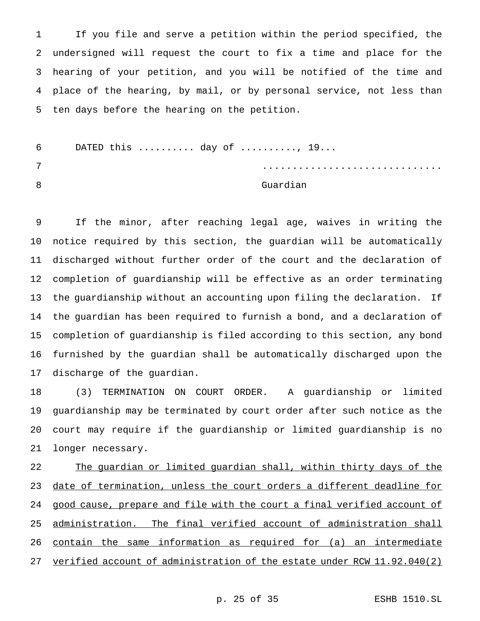If you file and serve a petition within the period specified, the undersigned will request the court to fix a time and place for the hearing of your petition, and you will be notified of the time and place of the hearing, by mail, or by personal service, not less than ten days before the hearing on the petition.

 DATED this .......... day of .........., 19... .............................. 8 Guardian

 If the minor, after reaching legal age, waives in writing the notice required by this section, the guardian will be automatically discharged without further order of the court and the declaration of completion of guardianship will be effective as an order terminating the guardianship without an accounting upon filing the declaration. If the guardian has been required to furnish a bond, and a declaration of completion of guardianship is filed according to this section, any bond furnished by the guardian shall be automatically discharged upon the discharge of the guardian.

 (3) TERMINATION ON COURT ORDER. A guardianship or limited guardianship may be terminated by court order after such notice as the court may require if the guardianship or limited guardianship is no longer necessary.

22 The guardian or limited guardian shall, within thirty days of the date of termination, unless the court orders a different deadline for good cause, prepare and file with the court a final verified account of administration. The final verified account of administration shall contain the same information as required for (a) an intermediate verified account of administration of the estate under RCW 11.92.040(2)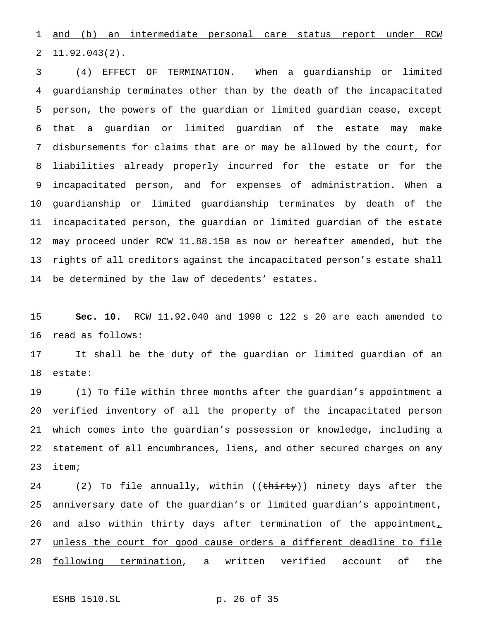and (b) an intermediate personal care status report under RCW 11.92.043(2).

 (4) EFFECT OF TERMINATION. When a guardianship or limited guardianship terminates other than by the death of the incapacitated person, the powers of the guardian or limited guardian cease, except that a guardian or limited guardian of the estate may make disbursements for claims that are or may be allowed by the court, for liabilities already properly incurred for the estate or for the incapacitated person, and for expenses of administration. When a guardianship or limited guardianship terminates by death of the incapacitated person, the guardian or limited guardian of the estate may proceed under RCW 11.88.150 as now or hereafter amended, but the rights of all creditors against the incapacitated person's estate shall be determined by the law of decedents' estates.

 **Sec. 10.** RCW 11.92.040 and 1990 c 122 s 20 are each amended to read as follows:

 It shall be the duty of the guardian or limited guardian of an estate:

 (1) To file within three months after the guardian's appointment a verified inventory of all the property of the incapacitated person which comes into the guardian's possession or knowledge, including a statement of all encumbrances, liens, and other secured charges on any item;

24 (2) To file annually, within ((<del>thirty</del>)) <u>ninety</u> days after the anniversary date of the guardian's or limited guardian's appointment, 26 and also within thirty days after termination of the appointment, 27 unless the court for good cause orders a different deadline to file following termination, a written verified account of the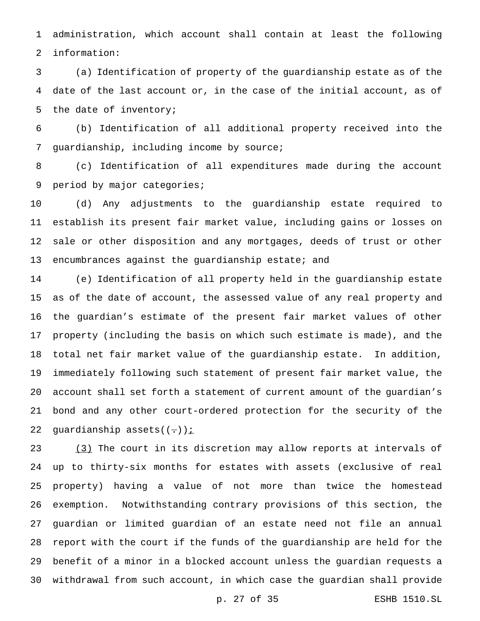administration, which account shall contain at least the following information:

 (a) Identification of property of the guardianship estate as of the date of the last account or, in the case of the initial account, as of the date of inventory;

 (b) Identification of all additional property received into the guardianship, including income by source;

 (c) Identification of all expenditures made during the account 9 period by major categories;

 (d) Any adjustments to the guardianship estate required to establish its present fair market value, including gains or losses on sale or other disposition and any mortgages, deeds of trust or other 13 encumbrances against the guardianship estate; and

 (e) Identification of all property held in the guardianship estate as of the date of account, the assessed value of any real property and the guardian's estimate of the present fair market values of other property (including the basis on which such estimate is made), and the total net fair market value of the guardianship estate. In addition, immediately following such statement of present fair market value, the account shall set forth a statement of current amount of the guardian's bond and any other court-ordered protection for the security of the 22 guardianship assets $((\div))$  *i* 

23 (3) The court in its discretion may allow reports at intervals of up to thirty-six months for estates with assets (exclusive of real property) having a value of not more than twice the homestead exemption. Notwithstanding contrary provisions of this section, the guardian or limited guardian of an estate need not file an annual report with the court if the funds of the guardianship are held for the benefit of a minor in a blocked account unless the guardian requests a withdrawal from such account, in which case the guardian shall provide

p. 27 of 35 ESHB 1510.SL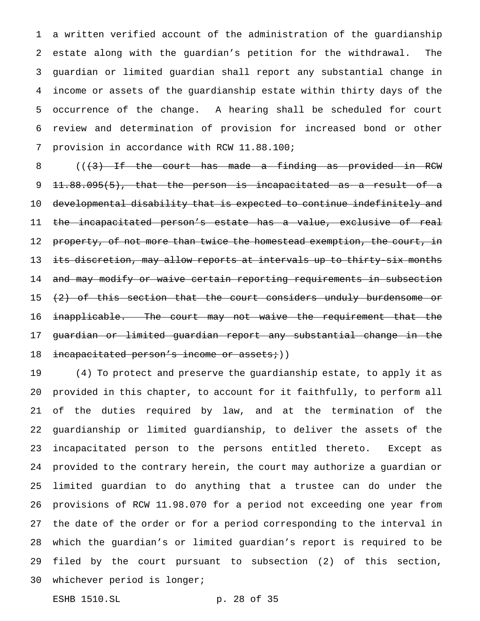a written verified account of the administration of the guardianship estate along with the guardian's petition for the withdrawal. The guardian or limited guardian shall report any substantial change in income or assets of the guardianship estate within thirty days of the occurrence of the change. A hearing shall be scheduled for court review and determination of provision for increased bond or other provision in accordance with RCW 11.88.100;

 $($   $($   $($   $\frac{1}{3}$   $)$  If the court has made a finding as provided in RCW 11.88.095(5), that the person is incapacitated as a result of a developmental disability that is expected to continue indefinitely and the incapacitated person's estate has a value, exclusive of real 12 property, of not more than twice the homestead exemption, the court, in 13 its discretion, may allow reports at intervals up to thirty-six months and may modify or waive certain reporting requirements in subsection  $(2)$  of this section that the court considers unduly burdensome or 16 <del>inapplicable. The court may not waive the requirement that the</del> guardian or limited guardian report any substantial change in the 18 incapacitated person's income or assets;))

 (4) To protect and preserve the guardianship estate, to apply it as provided in this chapter, to account for it faithfully, to perform all of the duties required by law, and at the termination of the guardianship or limited guardianship, to deliver the assets of the incapacitated person to the persons entitled thereto. Except as provided to the contrary herein, the court may authorize a guardian or limited guardian to do anything that a trustee can do under the provisions of RCW 11.98.070 for a period not exceeding one year from the date of the order or for a period corresponding to the interval in which the guardian's or limited guardian's report is required to be filed by the court pursuant to subsection (2) of this section, whichever period is longer;

ESHB 1510.SL p. 28 of 35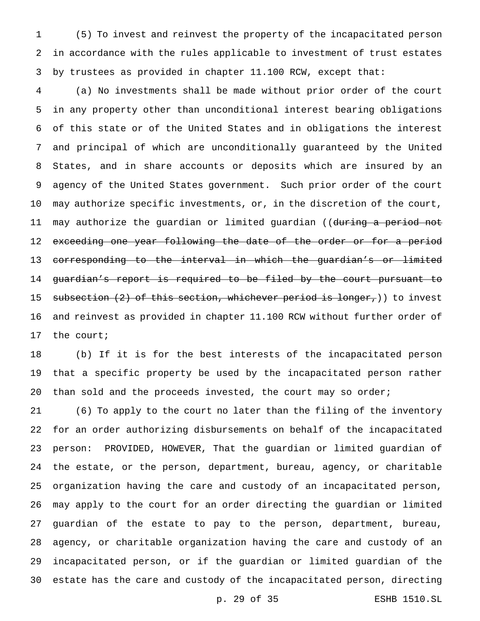(5) To invest and reinvest the property of the incapacitated person in accordance with the rules applicable to investment of trust estates by trustees as provided in chapter 11.100 RCW, except that:

 (a) No investments shall be made without prior order of the court in any property other than unconditional interest bearing obligations of this state or of the United States and in obligations the interest and principal of which are unconditionally guaranteed by the United States, and in share accounts or deposits which are insured by an agency of the United States government. Such prior order of the court may authorize specific investments, or, in the discretion of the court, may authorize the guardian or limited guardian ((during a period not 12 exceeding one year following the date of the order or for a period 13 corresponding to the interval in which the guardian's or limited guardian's report is required to be filed by the court pursuant to 15 subsection (2) of this section, whichever period is longer,)) to invest and reinvest as provided in chapter 11.100 RCW without further order of the court;

 (b) If it is for the best interests of the incapacitated person that a specific property be used by the incapacitated person rather 20 than sold and the proceeds invested, the court may so order;

 (6) To apply to the court no later than the filing of the inventory for an order authorizing disbursements on behalf of the incapacitated person: PROVIDED, HOWEVER, That the guardian or limited guardian of the estate, or the person, department, bureau, agency, or charitable organization having the care and custody of an incapacitated person, may apply to the court for an order directing the guardian or limited guardian of the estate to pay to the person, department, bureau, agency, or charitable organization having the care and custody of an incapacitated person, or if the guardian or limited guardian of the estate has the care and custody of the incapacitated person, directing

p. 29 of 35 ESHB 1510.SL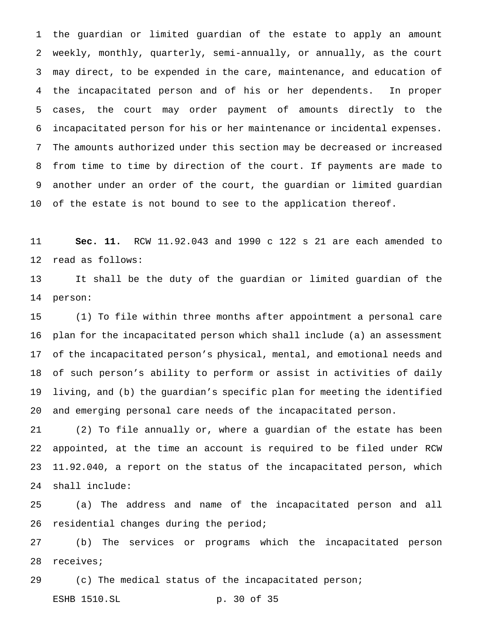the guardian or limited guardian of the estate to apply an amount weekly, monthly, quarterly, semi-annually, or annually, as the court may direct, to be expended in the care, maintenance, and education of the incapacitated person and of his or her dependents. In proper cases, the court may order payment of amounts directly to the incapacitated person for his or her maintenance or incidental expenses. The amounts authorized under this section may be decreased or increased from time to time by direction of the court. If payments are made to another under an order of the court, the guardian or limited guardian of the estate is not bound to see to the application thereof.

 **Sec. 11.** RCW 11.92.043 and 1990 c 122 s 21 are each amended to read as follows:

 It shall be the duty of the guardian or limited guardian of the person:

 (1) To file within three months after appointment a personal care plan for the incapacitated person which shall include (a) an assessment of the incapacitated person's physical, mental, and emotional needs and of such person's ability to perform or assist in activities of daily living, and (b) the guardian's specific plan for meeting the identified and emerging personal care needs of the incapacitated person.

 (2) To file annually or, where a guardian of the estate has been appointed, at the time an account is required to be filed under RCW 11.92.040, a report on the status of the incapacitated person, which shall include:

 (a) The address and name of the incapacitated person and all residential changes during the period;

 (b) The services or programs which the incapacitated person receives;

(c) The medical status of the incapacitated person;

ESHB 1510.SL p. 30 of 35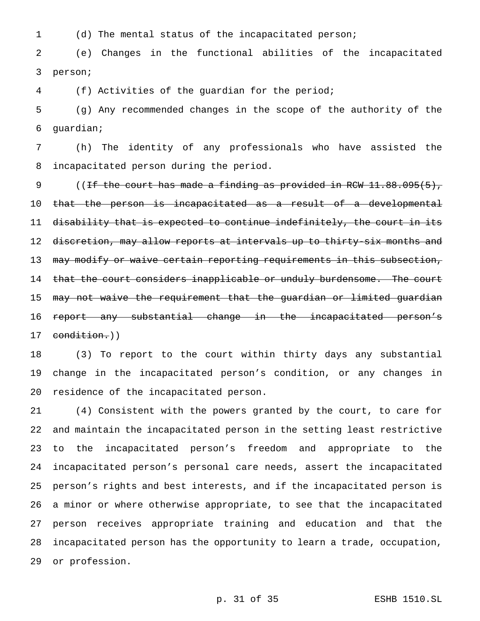(d) The mental status of the incapacitated person;

 (e) Changes in the functional abilities of the incapacitated person;

(f) Activities of the guardian for the period;

 (g) Any recommended changes in the scope of the authority of the guardian;

 (h) The identity of any professionals who have assisted the incapacitated person during the period.

9 ((If the court has made a finding as provided in RCW 11.88.095(5), that the person is incapacitated as a result of a developmental 11 disability that is expected to continue indefinitely, the court in its 12 d<del>iscretion, may allow reports at intervals up to thirty-six months and</del> 13 may modify or waive certain reporting requirements in this subsection, 14 that the court considers inapplicable or unduly burdensome. The court 15 may not waive the requirement that the guardian or limited guardian 16 <del>report any substantial change in the incapacitated person's</del> 17 condition.))

 (3) To report to the court within thirty days any substantial change in the incapacitated person's condition, or any changes in residence of the incapacitated person.

 (4) Consistent with the powers granted by the court, to care for and maintain the incapacitated person in the setting least restrictive to the incapacitated person's freedom and appropriate to the incapacitated person's personal care needs, assert the incapacitated person's rights and best interests, and if the incapacitated person is a minor or where otherwise appropriate, to see that the incapacitated person receives appropriate training and education and that the incapacitated person has the opportunity to learn a trade, occupation, or profession.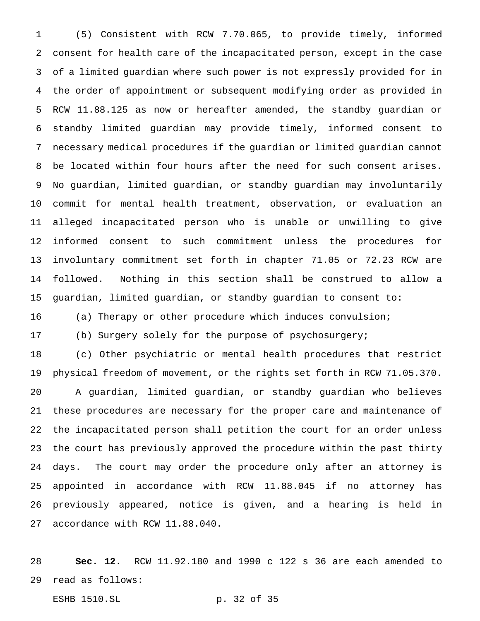(5) Consistent with RCW 7.70.065, to provide timely, informed consent for health care of the incapacitated person, except in the case of a limited guardian where such power is not expressly provided for in the order of appointment or subsequent modifying order as provided in RCW 11.88.125 as now or hereafter amended, the standby guardian or standby limited guardian may provide timely, informed consent to necessary medical procedures if the guardian or limited guardian cannot be located within four hours after the need for such consent arises. No guardian, limited guardian, or standby guardian may involuntarily commit for mental health treatment, observation, or evaluation an alleged incapacitated person who is unable or unwilling to give informed consent to such commitment unless the procedures for involuntary commitment set forth in chapter 71.05 or 72.23 RCW are followed. Nothing in this section shall be construed to allow a guardian, limited guardian, or standby guardian to consent to:

(a) Therapy or other procedure which induces convulsion;

(b) Surgery solely for the purpose of psychosurgery;

 (c) Other psychiatric or mental health procedures that restrict physical freedom of movement, or the rights set forth in RCW 71.05.370. A guardian, limited guardian, or standby guardian who believes these procedures are necessary for the proper care and maintenance of the incapacitated person shall petition the court for an order unless the court has previously approved the procedure within the past thirty days. The court may order the procedure only after an attorney is appointed in accordance with RCW 11.88.045 if no attorney has previously appeared, notice is given, and a hearing is held in accordance with RCW 11.88.040.

 **Sec. 12.** RCW 11.92.180 and 1990 c 122 s 36 are each amended to read as follows:

ESHB 1510.SL p. 32 of 35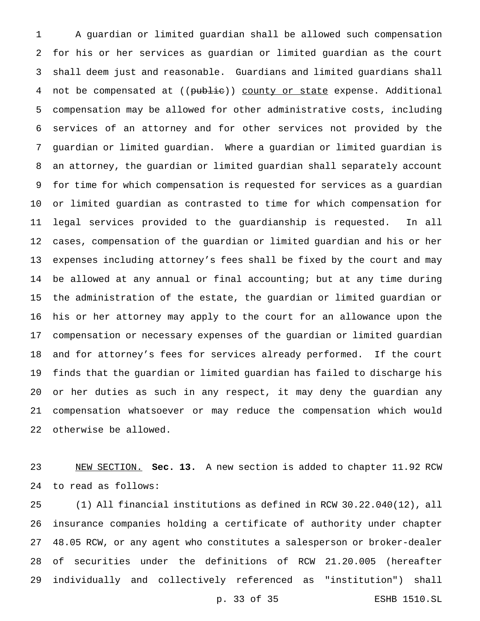A guardian or limited guardian shall be allowed such compensation for his or her services as guardian or limited guardian as the court shall deem just and reasonable. Guardians and limited guardians shall 4 not be compensated at ((public)) county or state expense. Additional compensation may be allowed for other administrative costs, including services of an attorney and for other services not provided by the guardian or limited guardian. Where a guardian or limited guardian is an attorney, the guardian or limited guardian shall separately account for time for which compensation is requested for services as a guardian or limited guardian as contrasted to time for which compensation for legal services provided to the guardianship is requested. In all cases, compensation of the guardian or limited guardian and his or her expenses including attorney's fees shall be fixed by the court and may be allowed at any annual or final accounting; but at any time during the administration of the estate, the guardian or limited guardian or his or her attorney may apply to the court for an allowance upon the compensation or necessary expenses of the guardian or limited guardian and for attorney's fees for services already performed. If the court finds that the guardian or limited guardian has failed to discharge his or her duties as such in any respect, it may deny the guardian any compensation whatsoever or may reduce the compensation which would otherwise be allowed.

 NEW SECTION. **Sec. 13.** A new section is added to chapter 11.92 RCW to read as follows:

 (1) All financial institutions as defined in RCW 30.22.040(12), all insurance companies holding a certificate of authority under chapter 48.05 RCW, or any agent who constitutes a salesperson or broker-dealer of securities under the definitions of RCW 21.20.005 (hereafter individually and collectively referenced as "institution") shall

p. 33 of 35 ESHB 1510.SL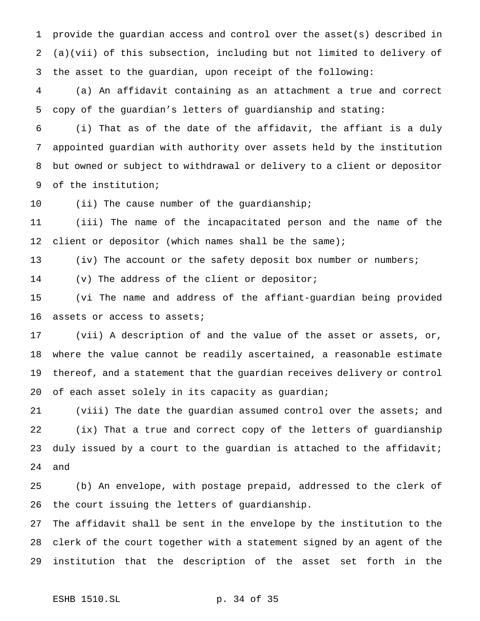provide the guardian access and control over the asset(s) described in (a)(vii) of this subsection, including but not limited to delivery of the asset to the guardian, upon receipt of the following:

 (a) An affidavit containing as an attachment a true and correct copy of the guardian's letters of guardianship and stating:

 (i) That as of the date of the affidavit, the affiant is a duly appointed guardian with authority over assets held by the institution but owned or subject to withdrawal or delivery to a client or depositor of the institution;

10 (ii) The cause number of the guardianship;

 (iii) The name of the incapacitated person and the name of the client or depositor (which names shall be the same);

13 (iv) The account or the safety deposit box number or numbers;

(v) The address of the client or depositor;

 (vi The name and address of the affiant-guardian being provided assets or access to assets;

 (vii) A description of and the value of the asset or assets, or, where the value cannot be readily ascertained, a reasonable estimate thereof, and a statement that the guardian receives delivery or control of each asset solely in its capacity as guardian;

 (viii) The date the guardian assumed control over the assets; and (ix) That a true and correct copy of the letters of guardianship 23 duly issued by a court to the guardian is attached to the affidavit; and

 (b) An envelope, with postage prepaid, addressed to the clerk of the court issuing the letters of guardianship.

 The affidavit shall be sent in the envelope by the institution to the clerk of the court together with a statement signed by an agent of the institution that the description of the asset set forth in the